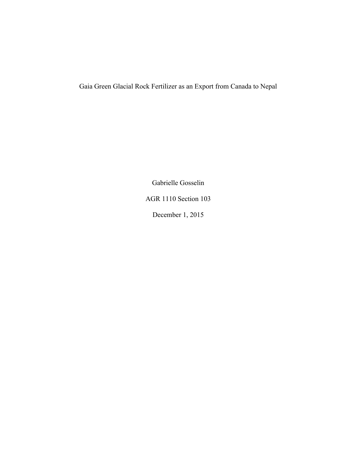# Gaia Green Glacial Rock Fertilizer as an Export from Canada to Nepal

Gabrielle Gosselin

AGR 1110 Section 103

December 1, 2015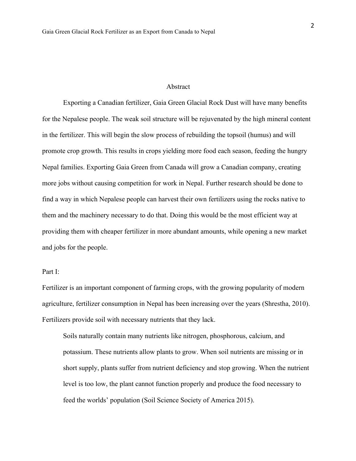## Abstract

Exporting a Canadian fertilizer, Gaia Green Glacial Rock Dust will have many benefits for the Nepalese people. The weak soil structure will be rejuvenated by the high mineral content in the fertilizer. This will begin the slow process of rebuilding the topsoil (humus) and will promote crop growth. This results in crops yielding more food each season, feeding the hungry Nepal families. Exporting Gaia Green from Canada will grow a Canadian company, creating more jobs without causing competition for work in Nepal. Further research should be done to find a way in which Nepalese people can harvest their own fertilizers using the rocks native to them and the machinery necessary to do that. Doing this would be the most efficient way at providing them with cheaper fertilizer in more abundant amounts, while opening a new market and jobs for the people.

# Part I:

Fertilizer is an important component of farming crops, with the growing popularity of modern agriculture, fertilizer consumption in Nepal has been increasing over the years (Shrestha, 2010). Fertilizers provide soil with necessary nutrients that they lack.

Soils naturally contain many nutrients like nitrogen, phosphorous, calcium, and potassium. These nutrients allow plants to grow. When soil nutrients are missing or in short supply, plants suffer from nutrient deficiency and stop growing. When the nutrient level is too low, the plant cannot function properly and produce the food necessary to feed the worlds' population (Soil Science Society of America 2015).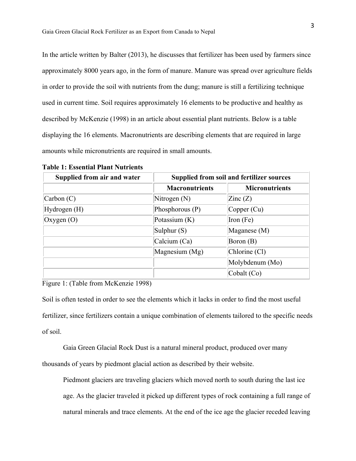In the article written by Balter (2013), he discusses that fertilizer has been used by farmers since approximately 8000 years ago, in the form of manure. Manure was spread over agriculture fields in order to provide the soil with nutrients from the dung; manure is still a fertilizing technique used in current time. Soil requires approximately 16 elements to be productive and healthy as described by McKenzie (1998) in an article about essential plant nutrients. Below is a table displaying the 16 elements. Macronutrients are describing elements that are required in large amounts while micronutrients are required in small amounts.

| Supplied from air and water |                       | <b>Supplied from soil and fertilizer sources</b> |  |
|-----------------------------|-----------------------|--------------------------------------------------|--|
|                             | <b>Macronutrients</b> | <b>Micronutrients</b>                            |  |
| $\Gamma$ Carbon $(C)$       | Nitrogen $(N)$        | $\text{Zinc} (Z)$                                |  |
| Hydrogen (H)                | Phosphorous $(P)$     | Copper (Cu)                                      |  |
| Oxygen (O)                  | Potassium $(K)$       | Iron $(Fe)$                                      |  |
|                             | Sulphur $(S)$         | Maganese (M)                                     |  |
|                             | Calcium (Ca)          | Boron (B)                                        |  |
|                             | Magnesium (Mg)        | Chlorine (Cl)                                    |  |
|                             |                       | Molybdenum (Mo)                                  |  |
|                             |                       | Cobalt (Co)                                      |  |

**Table 1: Essential Plant Nutrients**

Figure 1: (Table from McKenzie 1998)

Soil is often tested in order to see the elements which it lacks in order to find the most useful fertilizer, since fertilizers contain a unique combination of elements tailored to the specific needs of soil.

Gaia Green Glacial Rock Dust is a natural mineral product, produced over many thousands of years by piedmont glacial action as described by their website.

Piedmont glaciers are traveling glaciers which moved north to south during the last ice age. As the glacier traveled it picked up different types of rock containing a full range of natural minerals and trace elements. At the end of the ice age the glacier receded leaving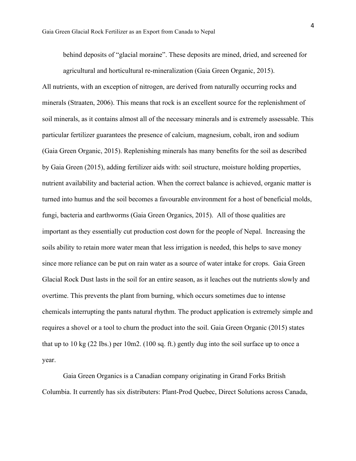behind deposits of "glacial moraine". These deposits are mined, dried, and screened for agricultural and horticultural re-mineralization (Gaia Green Organic, 2015).

All nutrients, with an exception of nitrogen, are derived from naturally occurring rocks and minerals (Straaten, 2006). This means that rock is an excellent source for the replenishment of soil minerals, as it contains almost all of the necessary minerals and is extremely assessable. This particular fertilizer guarantees the presence of calcium, magnesium, cobalt, iron and sodium (Gaia Green Organic, 2015). Replenishing minerals has many benefits for the soil as described by Gaia Green (2015), adding fertilizer aids with: soil structure, moisture holding properties, nutrient availability and bacterial action. When the correct balance is achieved, organic matter is turned into humus and the soil becomes a favourable environment for a host of beneficial molds, fungi, bacteria and earthworms (Gaia Green Organics, 2015). All of those qualities are important as they essentially cut production cost down for the people of Nepal. Increasing the soils ability to retain more water mean that less irrigation is needed, this helps to save money since more reliance can be put on rain water as a source of water intake for crops. Gaia Green Glacial Rock Dust lasts in the soil for an entire season, as it leaches out the nutrients slowly and overtime. This prevents the plant from burning, which occurs sometimes due to intense chemicals interrupting the pants natural rhythm. The product application is extremely simple and requires a shovel or a tool to churn the product into the soil. Gaia Green Organic (2015) states that up to 10 kg (22 Ibs.) per 10m2. (100 sq. ft.) gently dug into the soil surface up to once a year.

Gaia Green Organics is a Canadian company originating in Grand Forks British Columbia. It currently has six distributers: Plant-Prod Quebec, Direct Solutions across Canada,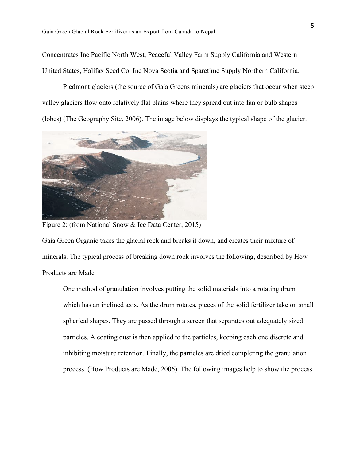Concentrates Inc Pacific North West, Peaceful Valley Farm Supply California and Western United States, Halifax Seed Co. Inc Nova Scotia and Sparetime Supply Northern California.

Piedmont glaciers (the source of Gaia Greens minerals) are glaciers that occur when steep valley glaciers flow onto relatively flat plains where they spread out into fan or bulb shapes (lobes) (The Geography Site, 2006). The image below displays the typical shape of the glacier.



Figure 2: (from National Snow & Ice Data Center, 2015)

Gaia Green Organic takes the glacial rock and breaks it down, and creates their mixture of minerals. The typical process of breaking down rock involves the following, described by How Products are Made

One method of granulation involves putting the solid materials into a rotating drum which has an inclined axis. As the drum rotates, pieces of the solid fertilizer take on small spherical shapes. They are passed through a screen that separates out adequately sized particles. A coating dust is then applied to the particles, keeping each one discrete and inhibiting moisture retention. Finally, the particles are dried completing the granulation process. (How Products are Made, 2006). The following images help to show the process.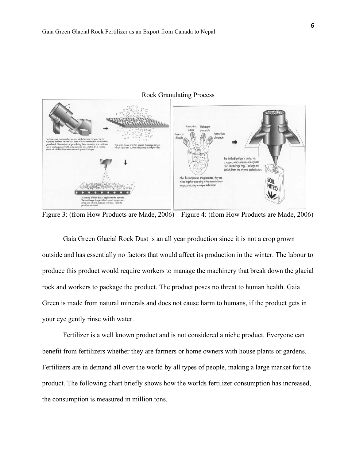

#### Rock Granulating Process

Figure 3: (from How Products are Made, 2006) Figure 4: (from How Products are Made, 2006)

Gaia Green Glacial Rock Dust is an all year production since it is not a crop grown outside and has essentially no factors that would affect its production in the winter. The labour to produce this product would require workers to manage the machinery that break down the glacial rock and workers to package the product. The product poses no threat to human health. Gaia Green is made from natural minerals and does not cause harm to humans, if the product gets in your eye gently rinse with water.

Fertilizer is a well known product and is not considered a niche product. Everyone can benefit from fertilizers whether they are farmers or home owners with house plants or gardens. Fertilizers are in demand all over the world by all types of people, making a large market for the product. The following chart briefly shows how the worlds fertilizer consumption has increased, the consumption is measured in million tons.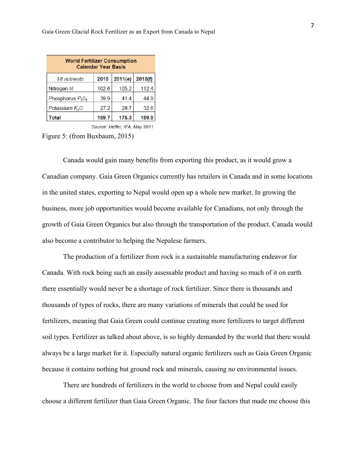| <b>World Fertilizer Consumption</b><br><b>Calendar Year Basis</b> |       |         |         |  |
|-------------------------------------------------------------------|-------|---------|---------|--|
| Mt nutrients                                                      | 2010  | 2011(e) | 2015(f) |  |
| Nitrogen N                                                        | 102.6 | 105.2   | 112.4   |  |
| Phosphorus $P_2O_5$                                               | 39.9  | 41.4    | 44.9    |  |
| Potassium $K2O$                                                   | 27.2  | 28.7    | 326     |  |
| Total                                                             | 169.7 | 175.3   | 189.9   |  |

Source: Heffer, IFA, May 2011

Figure 5: (from Buxbaum, 2015)

Canada would gain many benefits from exporting this product, as it would grow a Canadian company. Gaia Green Organics currently has retailers in Canada and in some locations in the united states, exporting to Nepal would open up a whole new market. In growing the business, more job opportunities would become available for Canadians, not only through the growth of Gaia Green Organics but also through the transportation of the product. Canada would also become a contributor to helping the Nepalese farmers.

The production of a fertilizer from rock is a sustainable manufacturing endeavor for Canada. With rock being such an easily assessable product and having so much of it on earth there essentially would never be a shortage of rock fertilizer. Since there is thousands and thousands of types of rocks, there are many variations of minerals that could be used for fertilizers, meaning that Gaia Green could continue creating more fertilizers to target different soil types. Fertilizer as talked about above, is so highly demanded by the world that there would always be a large market for it. Especially natural organic fertilizers such as Gaia Green Organic because it contains nothing but ground rock and minerals, causing no environmental issues.

There are hundreds of fertilizers in the world to choose from and Nepal could easily choose a different fertilizer than Gaia Green Organic. The four factors that made me choose this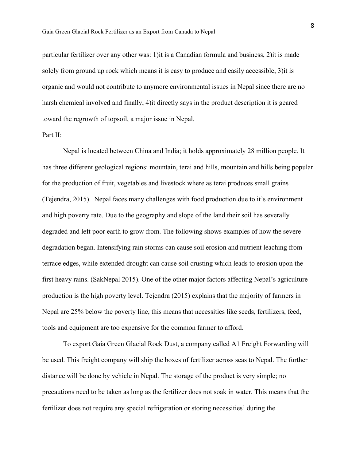particular fertilizer over any other was: 1)it is a Canadian formula and business, 2)it is made solely from ground up rock which means it is easy to produce and easily accessible, 3)it is organic and would not contribute to anymore environmental issues in Nepal since there are no harsh chemical involved and finally, 4)it directly says in the product description it is geared toward the regrowth of topsoil, a major issue in Nepal.

# Part II:

Nepal is located between China and India; it holds approximately 28 million people. It has three different geological regions: mountain, terai and hills, mountain and hills being popular for the production of fruit, vegetables and livestock where as terai produces small grains (Tejendra, 2015). Nepal faces many challenges with food production due to it's environment and high poverty rate. Due to the geography and slope of the land their soil has severally degraded and left poor earth to grow from. The following shows examples of how the severe degradation began. Intensifying rain storms can cause soil erosion and nutrient leaching from terrace edges, while extended drought can cause soil crusting which leads to erosion upon the first heavy rains. (SakNepal 2015). One of the other major factors affecting Nepal's agriculture production is the high poverty level. Tejendra (2015) explains that the majority of farmers in Nepal are 25% below the poverty line, this means that necessities like seeds, fertilizers, feed, tools and equipment are too expensive for the common farmer to afford.

To export Gaia Green Glacial Rock Dust, a company called A1 Freight Forwarding will be used. This freight company will ship the boxes of fertilizer across seas to Nepal. The further distance will be done by vehicle in Nepal. The storage of the product is very simple; no precautions need to be taken as long as the fertilizer does not soak in water. This means that the fertilizer does not require any special refrigeration or storing necessities' during the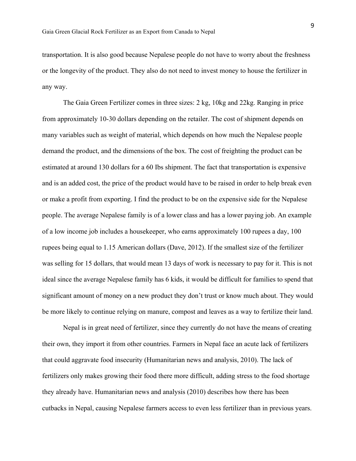transportation. It is also good because Nepalese people do not have to worry about the freshness or the longevity of the product. They also do not need to invest money to house the fertilizer in any way.

The Gaia Green Fertilizer comes in three sizes: 2 kg, 10kg and 22kg. Ranging in price from approximately 10-30 dollars depending on the retailer. The cost of shipment depends on many variables such as weight of material, which depends on how much the Nepalese people demand the product, and the dimensions of the box. The cost of freighting the product can be estimated at around 130 dollars for a 60 Ibs shipment. The fact that transportation is expensive and is an added cost, the price of the product would have to be raised in order to help break even or make a profit from exporting. I find the product to be on the expensive side for the Nepalese people. The average Nepalese family is of a lower class and has a lower paying job. An example of a low income job includes a housekeeper, who earns approximately 100 rupees a day, 100 rupees being equal to 1.15 American dollars (Dave, 2012). If the smallest size of the fertilizer was selling for 15 dollars, that would mean 13 days of work is necessary to pay for it. This is not ideal since the average Nepalese family has 6 kids, it would be difficult for families to spend that significant amount of money on a new product they don't trust or know much about. They would be more likely to continue relying on manure, compost and leaves as a way to fertilize their land.

Nepal is in great need of fertilizer, since they currently do not have the means of creating their own, they import it from other countries. Farmers in Nepal face an acute lack of fertilizers that could aggravate food insecurity (Humanitarian news and analysis, 2010). The lack of fertilizers only makes growing their food there more difficult, adding stress to the food shortage they already have. Humanitarian news and analysis (2010) describes how there has been cutbacks in Nepal, causing Nepalese farmers access to even less fertilizer than in previous years.

9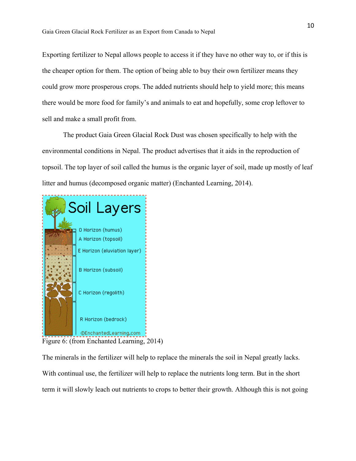Exporting fertilizer to Nepal allows people to access it if they have no other way to, or if this is the cheaper option for them. The option of being able to buy their own fertilizer means they could grow more prosperous crops. The added nutrients should help to yield more; this means there would be more food for family's and animals to eat and hopefully, some crop leftover to sell and make a small profit from.

The product Gaia Green Glacial Rock Dust was chosen specifically to help with the environmental conditions in Nepal. The product advertises that it aids in the reproduction of topsoil. The top layer of soil called the humus is the organic layer of soil, made up mostly of leaf litter and humus (decomposed organic matter) (Enchanted Learning, 2014).



Figure 6: (from Enchanted Learning, 2014)

The minerals in the fertilizer will help to replace the minerals the soil in Nepal greatly lacks. With continual use, the fertilizer will help to replace the nutrients long term. But in the short term it will slowly leach out nutrients to crops to better their growth. Although this is not going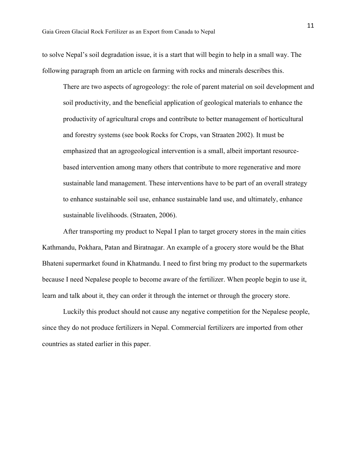to solve Nepal's soil degradation issue, it is a start that will begin to help in a small way. The following paragraph from an article on farming with rocks and minerals describes this.

There are two aspects of agrogeology: the role of parent material on soil development and soil productivity, and the beneficial application of geological materials to enhance the productivity of agricultural crops and contribute to better management of horticultural and forestry systems (see book Rocks for Crops, van Straaten 2002). It must be emphasized that an agrogeological intervention is a small, albeit important resourcebased intervention among many others that contribute to more regenerative and more sustainable land management. These interventions have to be part of an overall strategy to enhance sustainable soil use, enhance sustainable land use, and ultimately, enhance sustainable livelihoods. (Straaten, 2006).

After transporting my product to Nepal I plan to target grocery stores in the main cities Kathmandu, Pokhara, Patan and Biratnagar. An example of a grocery store would be the Bhat Bhateni supermarket found in Khatmandu. I need to first bring my product to the supermarkets because I need Nepalese people to become aware of the fertilizer. When people begin to use it, learn and talk about it, they can order it through the internet or through the grocery store.

Luckily this product should not cause any negative competition for the Nepalese people, since they do not produce fertilizers in Nepal. Commercial fertilizers are imported from other countries as stated earlier in this paper.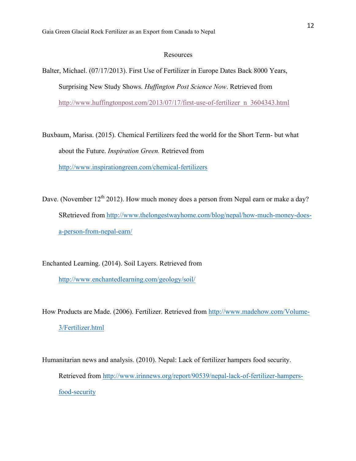## **Resources**

Balter, Michael. (07/17/2013). First Use of Fertilizer in Europe Dates Back 8000 Years, Surprising New Study Shows. *Huffington Post Science Now*. Retrieved from http://www.huffingtonpost.com/2013/07/17/first-use-of-fertilizer\_n\_3604343.html

Buxbaum, Marisa. (2015). Chemical Fertilizers feed the world for the Short Term- but what about the Future. *Inspiration Green.* Retrieved from http://www.inspirationgreen.com/chemical-fertilizers

Dave. (November  $12<sup>th</sup> 2012$ ). How much money does a person from Nepal earn or make a day? SRetrieved from http://www.thelongestwayhome.com/blog/nepal/how-much-money-doesa-person-from-nepal-earn/

Enchanted Learning. (2014). Soil Layers. Retrieved from

http://www.enchantedlearning.com/geology/soil/

How Products are Made. (2006). Fertilizer. Retrieved from http://www.madehow.com/Volume-3/Fertilizer.html

Humanitarian news and analysis. (2010). Nepal: Lack of fertilizer hampers food security. Retrieved from http://www.irinnews.org/report/90539/nepal-lack-of-fertilizer-hampersfood-security